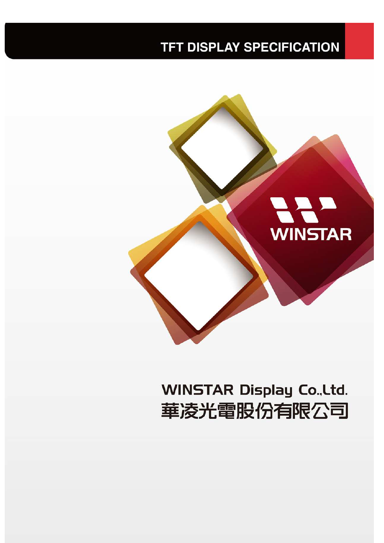### **TFT DISPLAY SPECIFICATION**



# **WINSTAR Display Co., Ltd.** 華凌光電股份有限公司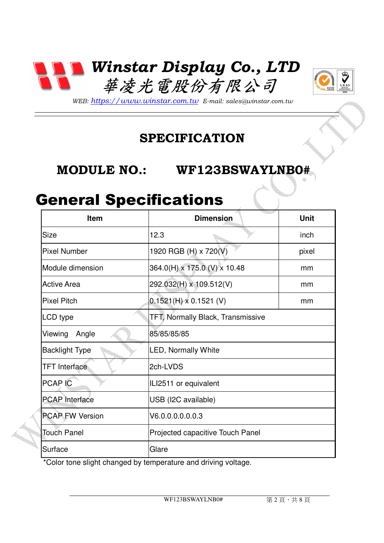



*WEB: https://www.winstar.com.tw E-mail: sales@winstar.com.tw*

#### **SPECIFICATION**

#### **MODULE NO.: WF123BSWAYLNB0# WF123BSWAYLNB0#**

#### General Specifications

| <b>Item</b>            | <b>Dimension</b>                         | <b>Unit</b> |
|------------------------|------------------------------------------|-------------|
| Size                   | 12.3                                     | inch        |
| <b>Pixel Number</b>    | 1920 RGB (H) x 720(V)                    | pixel       |
| Module dimension       | 364.0(H) x 175.0 (V) x 10.48             | mm          |
| <b>Active Area</b>     | 292.032(H) x 109.512(V)                  | mm          |
| <b>Pixel Pitch</b>     | $0.1521(H) \times 0.1521(V)$             | mm          |
| LCD type               | <b>TFT, Normally Black, Transmissive</b> |             |
| Viewing<br>Angle       | 85/85/85/85                              |             |
| <b>Backlight Type</b>  | <b>LED, Normally White</b>               |             |
| <b>TFT</b> Interface   | 2ch-LVDS                                 |             |
| <b>PCAP IC</b>         | ILI2511 or equivalent                    |             |
| <b>PCAP</b> Interface  | USB (I2C available)                      |             |
| <b>PCAP FW Version</b> | V6.0.0.0.0.0.0.3                         |             |
| <b>Touch Panel</b>     | Projected capacitive Touch Panel         |             |
| Surface                | Glare                                    |             |

\*Color tone slight changed by temperature and driving voltage.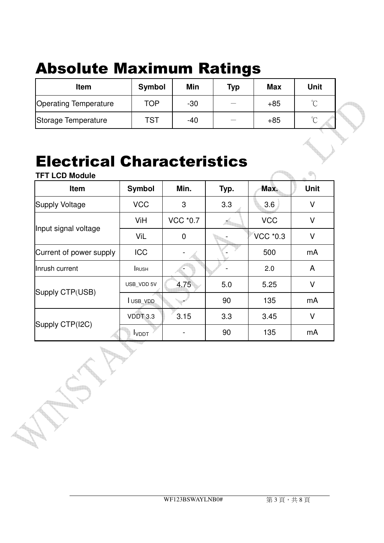# Absolute Maximum Ratings

| Item                         | <b>Symbol</b> | Min   | <b>Typ</b> | <b>Max</b> | <b>Unit</b> |  |
|------------------------------|---------------|-------|------------|------------|-------------|--|
| <b>Operating Temperature</b> | TOP           | $-30$ |            | $+85$      | $\sim$      |  |
| Storage Temperature          | TST           | $-40$ |            | $+85$      | $\sim$      |  |

### Electrical Characteristics

| <b>TFT LCD Module</b>   |               |                |      |            |             |
|-------------------------|---------------|----------------|------|------------|-------------|
| Item                    | <b>Symbol</b> | Min.           | Typ. | Max.       | <b>Unit</b> |
| <b>Supply Voltage</b>   | <b>VCC</b>    | 3              | 3.3  | 3.6        | $\vee$      |
|                         | ViH           | VCC *0.7       |      | <b>VCC</b> | V           |
| Input signal voltage    | ViL           | $\overline{0}$ |      | VCC *0.3   | V           |
| Current of power supply | <b>ICC</b>    |                |      | 500        | mA          |
| Inrush current          | <b>RUSH</b>   |                |      | 2.0        | A           |
|                         | USB_VDD 5V    | 4.75           | 5.0  | 5.25       | $\vee$      |
| Supply CTP(USB)         | USB_VDD       |                | 90   | 135        | mA          |
|                         | VDDT 3.3      | 3.15           | 3.3  | 3.45       | V           |
| Supply CTP(I2C)         | <b>I</b> VDDT |                | 90   | 135        | mA          |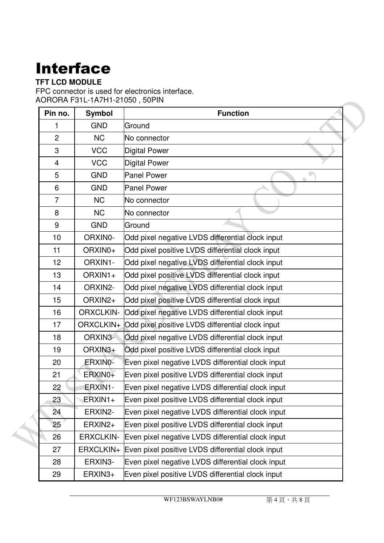# Interface

#### **TFT LCD MODULE**

FPC connector is used for electronics interface. AORORA F31L-1A7H1-21050 , 50PIN

| Pin no.         | <b>Symbol</b>    | <b>Function</b>                                            |
|-----------------|------------------|------------------------------------------------------------|
| 1               | <b>GND</b>       | Ground                                                     |
| $\overline{c}$  | <b>NC</b>        | No connector                                               |
| 3               | <b>VCC</b>       | <b>Digital Power</b>                                       |
| $\overline{4}$  | <b>VCC</b>       | <b>Digital Power</b>                                       |
| 5               | <b>GND</b>       | <b>Panel Power</b><br>ġ.                                   |
| 6               | <b>GND</b>       | <b>Panel Power</b>                                         |
| $\overline{7}$  | <b>NC</b>        | No connector                                               |
| 8               | <b>NC</b>        | No connector                                               |
| 9               | <b>GND</b>       | Ground                                                     |
| 10              | ORXIN0-          | Odd pixel negative LVDS differential clock input           |
| 11              | ORXIN0+          | Odd pixel positive LVDS differential clock input           |
| 12              | ORXIN1-          | Odd pixel negative LVDS differential clock input           |
| 13              | ORXIN1+          | Odd pixel positive LVDS differential clock input           |
| 14              | ORXIN2-          | Odd pixel negative LVDS differential clock input           |
| 15              | ORXIN2+          | Odd pixel positive LVDS differential clock input           |
| 16              | <b>ORXCLKIN-</b> | Odd pixel negative LVDS differential clock input           |
| 17              |                  | ORXCLKIN+ Odd pixel positive LVDS differential clock input |
| 18              | ORXIN3-          | Odd pixel negative LVDS differential clock input           |
| 19              | ORXIN3+          | Odd pixel positive LVDS differential clock input           |
| 20              | ERXINO-          | Even pixel negative LVDS differential clock input          |
| 21              | ERXIN0+          | Even pixel positive LVDS differential clock input          |
| 22              | ERXIN1-          | Even pixel negative LVDS differential clock input          |
| 23              | $ERXIN1+$        | Even pixel positive LVDS differential clock input          |
| 24              | ERXIN2-          | Even pixel negative LVDS differential clock input          |
| 25 <sub>2</sub> | ERXIN2+          | Even pixel positive LVDS differential clock input          |
| 26              | <b>ERXCLKIN-</b> | Even pixel negative LVDS differential clock input          |
| 27              | ERXCLKIN+        | Even pixel positive LVDS differential clock input          |
| 28              | ERXIN3-          | Even pixel negative LVDS differential clock input          |
| 29              | ERXIN3+          | Even pixel positive LVDS differential clock input          |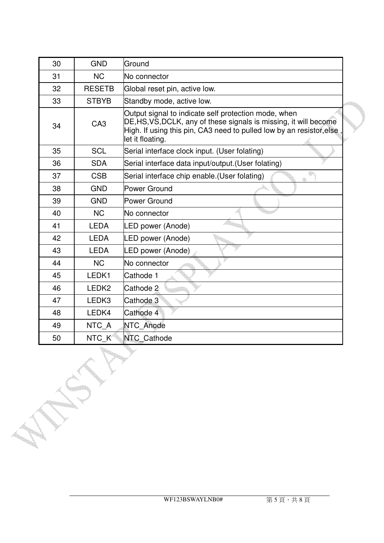| 30 | <b>GND</b>        | Ground                                                                                                                                                                                                                |
|----|-------------------|-----------------------------------------------------------------------------------------------------------------------------------------------------------------------------------------------------------------------|
| 31 | <b>NC</b>         | No connector                                                                                                                                                                                                          |
| 32 | <b>RESETB</b>     | Global reset pin, active low.                                                                                                                                                                                         |
| 33 | <b>STBYB</b>      | Standby mode, active low.                                                                                                                                                                                             |
| 34 | CA <sub>3</sub>   | Output signal to indicate self protection mode, when<br>DE, HS, VS, DCLK, any of these signals is missing, it will become<br>High. If using this pin, CA3 need to pulled low by an resistor, else<br>let it floating. |
| 35 | <b>SCL</b>        | Serial interface clock input. (User folating)                                                                                                                                                                         |
| 36 | <b>SDA</b>        | Serial interface data input/output. (User folating)                                                                                                                                                                   |
| 37 | <b>CSB</b>        | Serial interface chip enable. (User folating)                                                                                                                                                                         |
| 38 | <b>GND</b>        | Power Ground                                                                                                                                                                                                          |
| 39 | <b>GND</b>        | Power Ground                                                                                                                                                                                                          |
| 40 | <b>NC</b>         | No connector                                                                                                                                                                                                          |
| 41 | <b>LEDA</b>       | LED power (Anode)                                                                                                                                                                                                     |
| 42 | <b>LEDA</b>       | LED power (Anode)                                                                                                                                                                                                     |
| 43 | <b>LEDA</b>       | LED power (Anode)                                                                                                                                                                                                     |
| 44 | <b>NC</b>         | No connector                                                                                                                                                                                                          |
| 45 | LEDK1             | Cathode 1                                                                                                                                                                                                             |
| 46 | LEDK <sub>2</sub> | Cathode 2                                                                                                                                                                                                             |
| 47 | LEDK3             | Cathode 3                                                                                                                                                                                                             |
| 48 | LEDK4             | Cathode 4                                                                                                                                                                                                             |
| 49 | NTC A             | NTC Anode                                                                                                                                                                                                             |
| 50 | NTC K             | NTC Cathode                                                                                                                                                                                                           |

LL.

**THE** 

**County**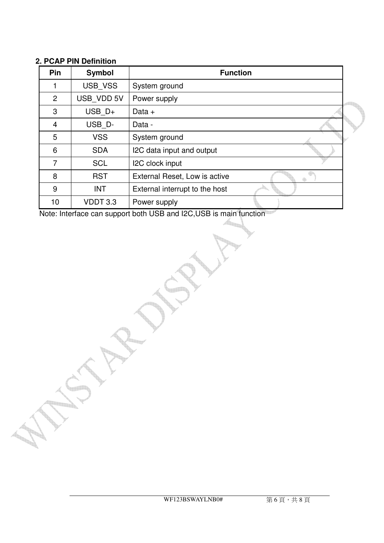#### **2. PCAP PIN Definition**

| <b>Pin</b>     | Symbol     | <b>Function</b>                |  |
|----------------|------------|--------------------------------|--|
|                | USB VSS    | System ground                  |  |
| $\overline{2}$ | USB VDD 5V | Power supply                   |  |
| 3              | $USB$ $D+$ | Data $+$                       |  |
| $\overline{4}$ | USB_D-     | Data -                         |  |
| 5              | <b>VSS</b> | System ground                  |  |
| 6              | <b>SDA</b> | I2C data input and output      |  |
| 7              | <b>SCL</b> | I2C clock input                |  |
| 8              | <b>RST</b> | External Reset, Low is active  |  |
| 9              | <b>INT</b> | External interrupt to the host |  |
| 10             | VDDT 3.3   | Power supply                   |  |

Note: Interface can support both USB and I2C,USB is main function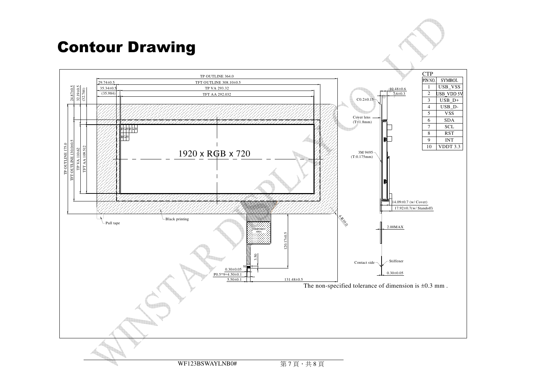## Contour Drawing